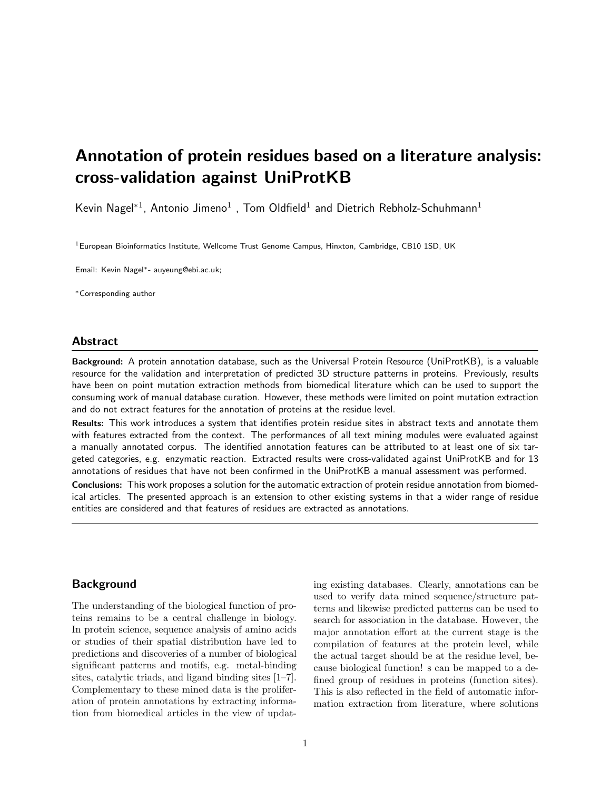# Annotation of protein residues based on a literature analysis: cross-validation against UniProtKB

Kevin Nagel<sup>\*1</sup>, Antonio Jimeno<sup>1</sup>, Tom Oldfield<sup>1</sup> and Dietrich Rebholz-Schuhmann<sup>1</sup>

 $1$ European Bioinformatics Institute, Wellcome Trust Genome Campus, Hinxton, Cambridge, CB10 1SD, UK

Email: Kevin Nagel∗- auyeung@ebi.ac.uk;

<sup>∗</sup>Corresponding author

#### Abstract

Background: A protein annotation database, such as the Universal Protein Resource (UniProtKB), is a valuable resource for the validation and interpretation of predicted 3D structure patterns in proteins. Previously, results have been on point mutation extraction methods from biomedical literature which can be used to support the consuming work of manual database curation. However, these methods were limited on point mutation extraction and do not extract features for the annotation of proteins at the residue level.

Results: This work introduces a system that identifies protein residue sites in abstract texts and annotate them with features extracted from the context. The performances of all text mining modules were evaluated against a manually annotated corpus. The identified annotation features can be attributed to at least one of six targeted categories, e.g. enzymatic reaction. Extracted results were cross-validated against UniProtKB and for 13 annotations of residues that have not been confirmed in the UniProtKB a manual assessment was performed.

Conclusions: This work proposes a solution for the automatic extraction of protein residue annotation from biomedical articles. The presented approach is an extension to other existing systems in that a wider range of residue entities are considered and that features of residues are extracted as annotations.

# Background

The understanding of the biological function of proteins remains to be a central challenge in biology. In protein science, sequence analysis of amino acids or studies of their spatial distribution have led to predictions and discoveries of a number of biological significant patterns and motifs, e.g. metal-binding sites, catalytic triads, and ligand binding sites [1–7]. Complementary to these mined data is the proliferation of protein annotations by extracting information from biomedical articles in the view of updating existing databases. Clearly, annotations can be used to verify data mined sequence/structure patterns and likewise predicted patterns can be used to search for association in the database. However, the major annotation effort at the current stage is the compilation of features at the protein level, while the actual target should be at the residue level, because biological function! s can be mapped to a defined group of residues in proteins (function sites). This is also reflected in the field of automatic information extraction from literature, where solutions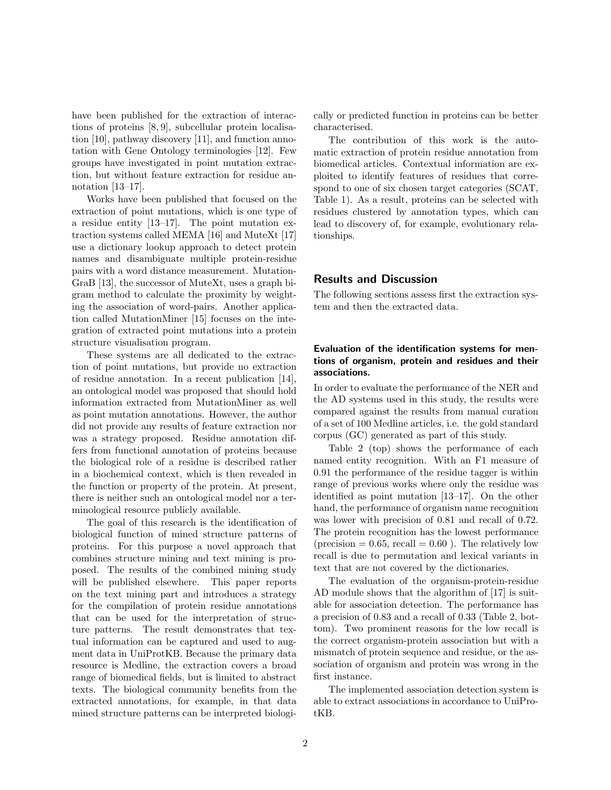have been published for the extraction of interactions of proteins [8, 9], subcellular protein localisation [10], pathway discovery [11], and function annotation with Gene Ontology terminologies [12]. Few groups have investigated in point mutation extraction, but without feature extraction for residue annotation [13–17].

Works have been published that focused on the extraction of point mutations, which is one type of a residue entity [13–17]. The point mutation extraction systems called MEMA [16] and MuteXt [17] use a dictionary lookup approach to detect protein names and disambiguate multiple protein-residue pairs with a word distance measurement. Mutation-GraB [13], the successor of MuteXt, uses a graph bigram method to calculate the proximity by weighting the association of word-pairs. Another application called MutationMiner [15] focuses on the integration of extracted point mutations into a protein structure visualisation program.

These systems are all dedicated to the extraction of point mutations, but provide no extraction of residue annotation. In a recent publication [14], an ontological model was proposed that should hold information extracted from MutationMiner as well as point mutation annotations. However, the author did not provide any results of feature extraction nor was a strategy proposed. Residue annotation differs from functional annotation of proteins because the biological role of a residue is described rather in a biochemical context, which is then revealed in the function or property of the protein. At present, there is neither such an ontological model nor a terminological resource publicly available.

The goal of this research is the identification of biological function of mined structure patterns of proteins. For this purpose a novel approach that combines structure mining and text mining is proposed. The results of the combined mining study will be published elsewhere. This paper reports on the text mining part and introduces a strategy for the compilation of protein residue annotations that can be used for the interpretation of structure patterns. The result demonstrates that textual information can be captured and used to augment data in UniProtKB. Because the primary data resource is Medline, the extraction covers a broad range of biomedical fields, but is limited to abstract texts. The biological community benefits from the extracted annotations, for example, in that data mined structure patterns can be interpreted biologically or predicted function in proteins can be better characterised.

The contribution of this work is the automatic extraction of protein residue annotation from biomedical articles. Contextual information are exploited to identify features of residues that correspond to one of six chosen target categories (SCAT, Table 1). As a result, proteins can be selected with residues clustered by annotation types, which can lead to discovery of, for example, evolutionary relationships.

# Results and Discussion

The following sections assess first the extraction system and then the extracted data.

## Evaluation of the identification systems for mentions of organism, protein and residues and their associations.

In order to evaluate the performance of the NER and the AD systems used in this study, the results were compared against the results from manual curation of a set of 100 Medline articles, i.e. the gold standard corpus (GC) generated as part of this study.

Table 2 (top) shows the performance of each named entity recognition. With an F1 measure of 0.91 the performance of the residue tagger is within range of previous works where only the residue was identified as point mutation [13–17]. On the other hand, the performance of organism name recognition was lower with precision of 0.81 and recall of 0.72. The protein recognition has the lowest performance (precision  $= 0.65$ , recall  $= 0.60$ ). The relatively low recall is due to permutation and lexical variants in text that are not covered by the dictionaries.

The evaluation of the organism-protein-residue AD module shows that the algorithm of [17] is suitable for association detection. The performance has a precision of 0.83 and a recall of 0.33 (Table 2, bottom). Two prominent reasons for the low recall is the correct organism-protein association but with a mismatch of protein sequence and residue, or the association of organism and protein was wrong in the first instance.

The implemented association detection system is able to extract associations in accordance to UniProtKB.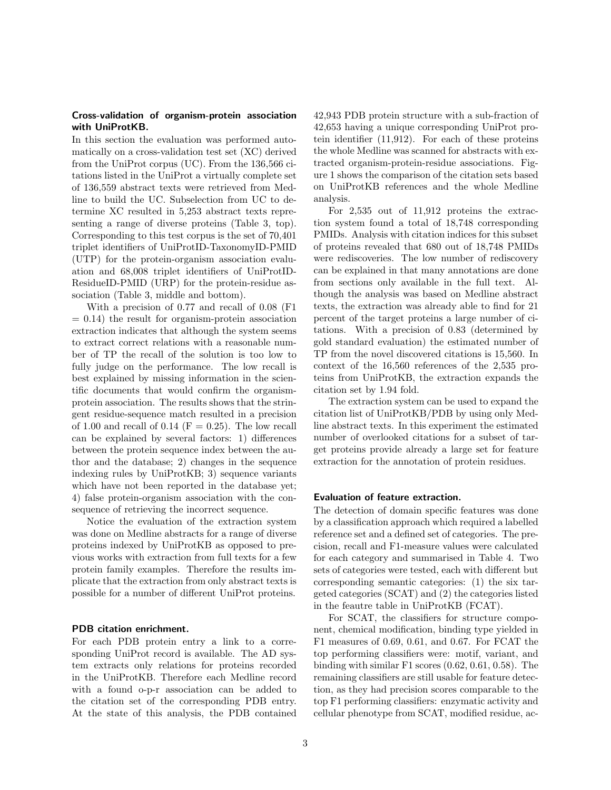## Cross-validation of organism-protein association with UniProtKB.

In this section the evaluation was performed automatically on a cross-validation test set (XC) derived from the UniProt corpus (UC). From the 136,566 citations listed in the UniProt a virtually complete set of 136,559 abstract texts were retrieved from Medline to build the UC. Subselection from UC to determine XC resulted in 5,253 abstract texts representing a range of diverse proteins (Table 3, top). Corresponding to this test corpus is the set of 70,401 triplet identifiers of UniProtID-TaxonomyID-PMID (UTP) for the protein-organism association evaluation and 68,008 triplet identifiers of UniProtID-ResidueID-PMID (URP) for the protein-residue association (Table 3, middle and bottom).

With a precision of 0.77 and recall of 0.08 (F1  $= 0.14$ ) the result for organism-protein association extraction indicates that although the system seems to extract correct relations with a reasonable number of TP the recall of the solution is too low to fully judge on the performance. The low recall is best explained by missing information in the scientific documents that would confirm the organismprotein association. The results shows that the stringent residue-sequence match resulted in a precision of 1.00 and recall of 0.14 ( $F = 0.25$ ). The low recall can be explained by several factors: 1) differences between the protein sequence index between the author and the database; 2) changes in the sequence indexing rules by UniProtKB; 3) sequence variants which have not been reported in the database yet; 4) false protein-organism association with the consequence of retrieving the incorrect sequence.

Notice the evaluation of the extraction system was done on Medline abstracts for a range of diverse proteins indexed by UniProtKB as opposed to previous works with extraction from full texts for a few protein family examples. Therefore the results implicate that the extraction from only abstract texts is possible for a number of different UniProt proteins.

#### PDB citation enrichment.

For each PDB protein entry a link to a corresponding UniProt record is available. The AD system extracts only relations for proteins recorded in the UniProtKB. Therefore each Medline record with a found o-p-r association can be added to the citation set of the corresponding PDB entry. At the state of this analysis, the PDB contained 42,943 PDB protein structure with a sub-fraction of 42,653 having a unique corresponding UniProt protein identifier (11,912). For each of these proteins the whole Medline was scanned for abstracts with extracted organism-protein-residue associations. Figure 1 shows the comparison of the citation sets based on UniProtKB references and the whole Medline analysis.

For 2,535 out of 11,912 proteins the extraction system found a total of 18,748 corresponding PMIDs. Analysis with citation indices for this subset of proteins revealed that 680 out of 18,748 PMIDs were rediscoveries. The low number of rediscovery can be explained in that many annotations are done from sections only available in the full text. Although the analysis was based on Medline abstract texts, the extraction was already able to find for 21 percent of the target proteins a large number of citations. With a precision of 0.83 (determined by gold standard evaluation) the estimated number of TP from the novel discovered citations is 15,560. In context of the 16,560 references of the 2,535 proteins from UniProtKB, the extraction expands the citation set by 1.94 fold.

The extraction system can be used to expand the citation list of UniProtKB/PDB by using only Medline abstract texts. In this experiment the estimated number of overlooked citations for a subset of target proteins provide already a large set for feature extraction for the annotation of protein residues.

#### Evaluation of feature extraction.

The detection of domain specific features was done by a classification approach which required a labelled reference set and a defined set of categories. The precision, recall and F1-measure values were calculated for each category and summarised in Table 4. Two sets of categories were tested, each with different but corresponding semantic categories: (1) the six targeted categories (SCAT) and (2) the categories listed in the feautre table in UniProtKB (FCAT).

For SCAT, the classifiers for structure component, chemical modification, binding type yielded in F1 measures of 0.69, 0.61, and 0.67. For FCAT the top performing classifiers were: motif, variant, and binding with similar F1 scores (0.62, 0.61, 0.58). The remaining classifiers are still usable for feature detection, as they had precision scores comparable to the top F1 performing classifiers: enzymatic activity and cellular phenotype from SCAT, modified residue, ac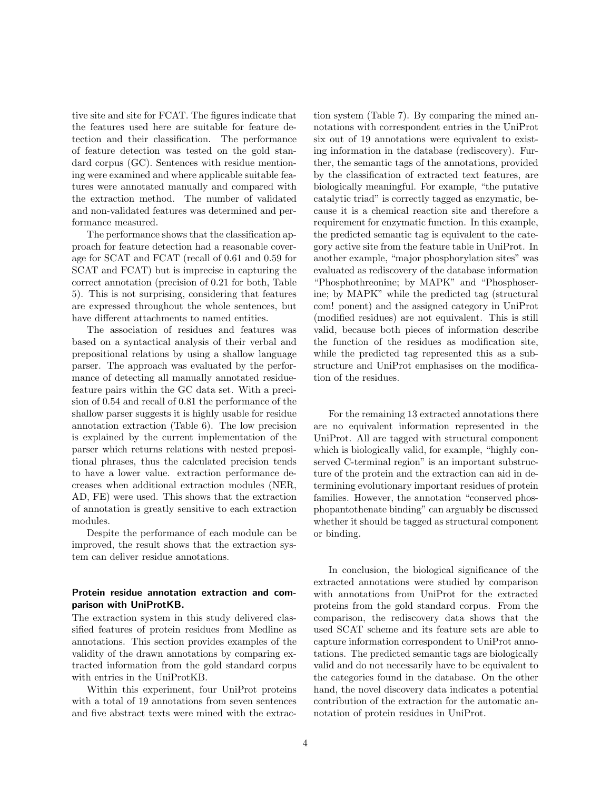tive site and site for FCAT. The figures indicate that the features used here are suitable for feature detection and their classification. The performance of feature detection was tested on the gold standard corpus (GC). Sentences with residue mentioning were examined and where applicable suitable features were annotated manually and compared with the extraction method. The number of validated and non-validated features was determined and performance measured.

The performance shows that the classification approach for feature detection had a reasonable coverage for SCAT and FCAT (recall of 0.61 and 0.59 for SCAT and FCAT) but is imprecise in capturing the correct annotation (precision of 0.21 for both, Table 5). This is not surprising, considering that features are expressed throughout the whole sentences, but have different attachments to named entities.

The association of residues and features was based on a syntactical analysis of their verbal and prepositional relations by using a shallow language parser. The approach was evaluated by the performance of detecting all manually annotated residuefeature pairs within the GC data set. With a precision of 0.54 and recall of 0.81 the performance of the shallow parser suggests it is highly usable for residue annotation extraction (Table 6). The low precision is explained by the current implementation of the parser which returns relations with nested prepositional phrases, thus the calculated precision tends to have a lower value. extraction performance decreases when additional extraction modules (NER, AD, FE) were used. This shows that the extraction of annotation is greatly sensitive to each extraction modules.

Despite the performance of each module can be improved, the result shows that the extraction system can deliver residue annotations.

## Protein residue annotation extraction and comparison with UniProtKB.

The extraction system in this study delivered classified features of protein residues from Medline as annotations. This section provides examples of the validity of the drawn annotations by comparing extracted information from the gold standard corpus with entries in the UniProtKB.

Within this experiment, four UniProt proteins with a total of 19 annotations from seven sentences and five abstract texts were mined with the extraction system (Table 7). By comparing the mined annotations with correspondent entries in the UniProt six out of 19 annotations were equivalent to existing information in the database (rediscovery). Further, the semantic tags of the annotations, provided by the classification of extracted text features, are biologically meaningful. For example, "the putative catalytic triad" is correctly tagged as enzymatic, because it is a chemical reaction site and therefore a requirement for enzymatic function. In this example, the predicted semantic tag is equivalent to the category active site from the feature table in UniProt. In another example, "major phosphorylation sites" was evaluated as rediscovery of the database information "Phosphothreonine; by MAPK" and "Phosphoserine; by MAPK" while the predicted tag (structural com! ponent) and the assigned category in UniProt (modified residues) are not equivalent. This is still valid, because both pieces of information describe the function of the residues as modification site, while the predicted tag represented this as a substructure and UniProt emphasises on the modification of the residues.

For the remaining 13 extracted annotations there are no equivalent information represented in the UniProt. All are tagged with structural component which is biologically valid, for example, "highly conserved C-terminal region" is an important substructure of the protein and the extraction can aid in determining evolutionary important residues of protein families. However, the annotation "conserved phosphopantothenate binding" can arguably be discussed whether it should be tagged as structural component or binding.

In conclusion, the biological significance of the extracted annotations were studied by comparison with annotations from UniProt for the extracted proteins from the gold standard corpus. From the comparison, the rediscovery data shows that the used SCAT scheme and its feature sets are able to capture information correspondent to UniProt annotations. The predicted semantic tags are biologically valid and do not necessarily have to be equivalent to the categories found in the database. On the other hand, the novel discovery data indicates a potential contribution of the extraction for the automatic annotation of protein residues in UniProt.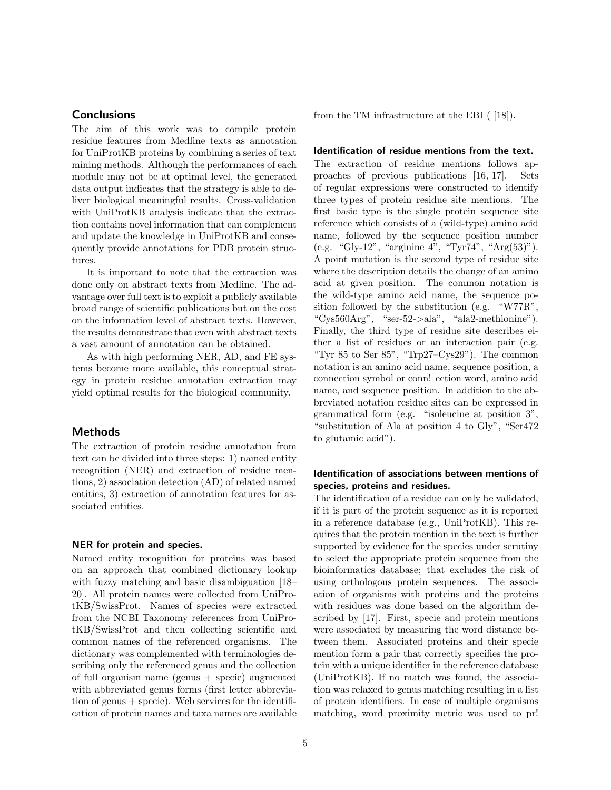# **Conclusions**

The aim of this work was to compile protein residue features from Medline texts as annotation for UniProtKB proteins by combining a series of text mining methods. Although the performances of each module may not be at optimal level, the generated data output indicates that the strategy is able to deliver biological meaningful results. Cross-validation with UniProtKB analysis indicate that the extraction contains novel information that can complement and update the knowledge in UniProtKB and consequently provide annotations for PDB protein structures.

It is important to note that the extraction was done only on abstract texts from Medline. The advantage over full text is to exploit a publicly available broad range of scientific publications but on the cost on the information level of abstract texts. However, the results demonstrate that even with abstract texts a vast amount of annotation can be obtained.

As with high performing NER, AD, and FE systems become more available, this conceptual strategy in protein residue annotation extraction may yield optimal results for the biological community.

## Methods

The extraction of protein residue annotation from text can be divided into three steps: 1) named entity recognition (NER) and extraction of residue mentions, 2) association detection (AD) of related named entities, 3) extraction of annotation features for associated entities.

#### NER for protein and species.

Named entity recognition for proteins was based on an approach that combined dictionary lookup with fuzzy matching and basic disambiguation [18– 20]. All protein names were collected from UniProtKB/SwissProt. Names of species were extracted from the NCBI Taxonomy references from UniProtKB/SwissProt and then collecting scientific and common names of the referenced organisms. The dictionary was complemented with terminologies describing only the referenced genus and the collection of full organism name (genus + specie) augmented with abbreviated genus forms (first letter abbreviation of genus  $+$  specie). Web services for the identification of protein names and taxa names are available from the TM infrastructure at the EBI ( [18]).

#### Identification of residue mentions from the text.

The extraction of residue mentions follows approaches of previous publications [16, 17]. Sets of regular expressions were constructed to identify three types of protein residue site mentions. The first basic type is the single protein sequence site reference which consists of a (wild-type) amino acid name, followed by the sequence position number (e.g. "Gly-12", "arginine 4", "Tyr74", "Arg(53)"). A point mutation is the second type of residue site where the description details the change of an amino acid at given position. The common notation is the wild-type amino acid name, the sequence position followed by the substitution (e.g. "W77R", "Cys560Arg", "ser-52->ala", "ala2-methionine"). Finally, the third type of residue site describes either a list of residues or an interaction pair (e.g. "Tyr 85 to Ser  $85$ ", "Trp27–Cys29"). The common notation is an amino acid name, sequence position, a connection symbol or conn! ection word, amino acid name, and sequence position. In addition to the abbreviated notation residue sites can be expressed in grammatical form (e.g. "isoleucine at position 3", "substitution of Ala at position 4 to Gly", "Ser472 to glutamic acid").

# Identification of associations between mentions of species, proteins and residues.

The identification of a residue can only be validated, if it is part of the protein sequence as it is reported in a reference database (e.g., UniProtKB). This requires that the protein mention in the text is further supported by evidence for the species under scrutiny to select the appropriate protein sequence from the bioinformatics database; that excludes the risk of using orthologous protein sequences. The association of organisms with proteins and the proteins with residues was done based on the algorithm described by [17]. First, specie and protein mentions were associated by measuring the word distance between them. Associated proteins and their specie mention form a pair that correctly specifies the protein with a unique identifier in the reference database (UniProtKB). If no match was found, the association was relaxed to genus matching resulting in a list of protein identifiers. In case of multiple organisms matching, word proximity metric was used to pr!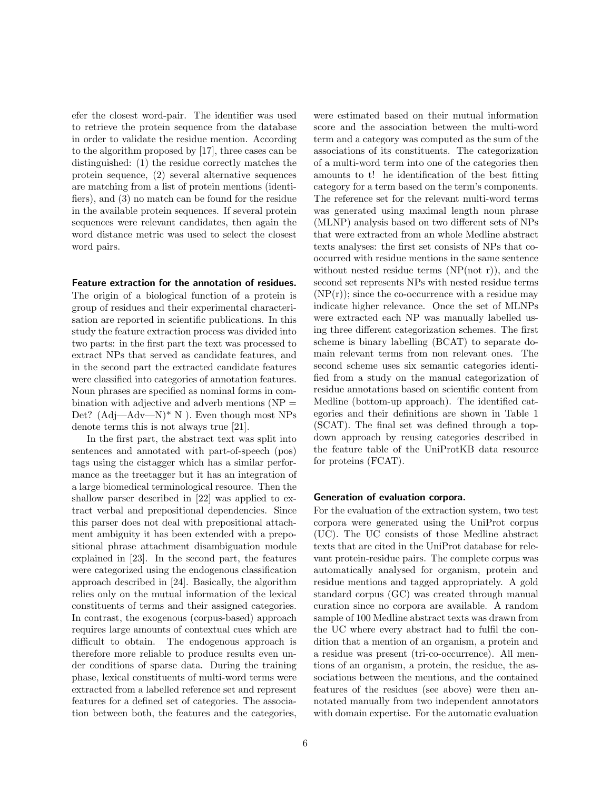efer the closest word-pair. The identifier was used to retrieve the protein sequence from the database in order to validate the residue mention. According to the algorithm proposed by [17], three cases can be distinguished: (1) the residue correctly matches the protein sequence, (2) several alternative sequences are matching from a list of protein mentions (identifiers), and (3) no match can be found for the residue in the available protein sequences. If several protein sequences were relevant candidates, then again the word distance metric was used to select the closest word pairs.

#### Feature extraction for the annotation of residues.

The origin of a biological function of a protein is group of residues and their experimental characterisation are reported in scientific publications. In this study the feature extraction process was divided into two parts: in the first part the text was processed to extract NPs that served as candidate features, and in the second part the extracted candidate features were classified into categories of annotation features. Noun phrases are specified as nominal forms in combination with adjective and adverb mentions  $(NP =$ Det?  $(Adj—Adv—N)*N$ . Even though most NPs denote terms this is not always true [21].

In the first part, the abstract text was split into sentences and annotated with part-of-speech (pos) tags using the cistagger which has a similar performance as the treetagger but it has an integration of a large biomedical terminological resource. Then the shallow parser described in [22] was applied to extract verbal and prepositional dependencies. Since this parser does not deal with prepositional attachment ambiguity it has been extended with a prepositional phrase attachment disambiguation module explained in [23]. In the second part, the features were categorized using the endogenous classification approach described in [24]. Basically, the algorithm relies only on the mutual information of the lexical constituents of terms and their assigned categories. In contrast, the exogenous (corpus-based) approach requires large amounts of contextual cues which are difficult to obtain. The endogenous approach is therefore more reliable to produce results even under conditions of sparse data. During the training phase, lexical constituents of multi-word terms were extracted from a labelled reference set and represent features for a defined set of categories. The association between both, the features and the categories, were estimated based on their mutual information score and the association between the multi-word term and a category was computed as the sum of the associations of its constituents. The categorization of a multi-word term into one of the categories then amounts to t! he identification of the best fitting category for a term based on the term's components. The reference set for the relevant multi-word terms was generated using maximal length noun phrase (MLNP) analysis based on two different sets of NPs that were extracted from an whole Medline abstract texts analyses: the first set consists of NPs that cooccurred with residue mentions in the same sentence without nested residue terms  $(NP(not r))$ , and the second set represents NPs with nested residue terms  $(NP(r))$ ; since the co-occurrence with a residue may indicate higher relevance. Once the set of MLNPs were extracted each NP was manually labelled using three different categorization schemes. The first scheme is binary labelling (BCAT) to separate domain relevant terms from non relevant ones. The second scheme uses six semantic categories identified from a study on the manual categorization of residue annotations based on scientific content from Medline (bottom-up approach). The identified categories and their definitions are shown in Table 1 (SCAT). The final set was defined through a topdown approach by reusing categories described in the feature table of the UniProtKB data resource for proteins (FCAT).

#### Generation of evaluation corpora.

For the evaluation of the extraction system, two test corpora were generated using the UniProt corpus (UC). The UC consists of those Medline abstract texts that are cited in the UniProt database for relevant protein-residue pairs. The complete corpus was automatically analysed for organism, protein and residue mentions and tagged appropriately. A gold standard corpus (GC) was created through manual curation since no corpora are available. A random sample of 100 Medline abstract texts was drawn from the UC where every abstract had to fulfil the condition that a mention of an organism, a protein and a residue was present (tri-co-occurrence). All mentions of an organism, a protein, the residue, the associations between the mentions, and the contained features of the residues (see above) were then annotated manually from two independent annotators with domain expertise. For the automatic evaluation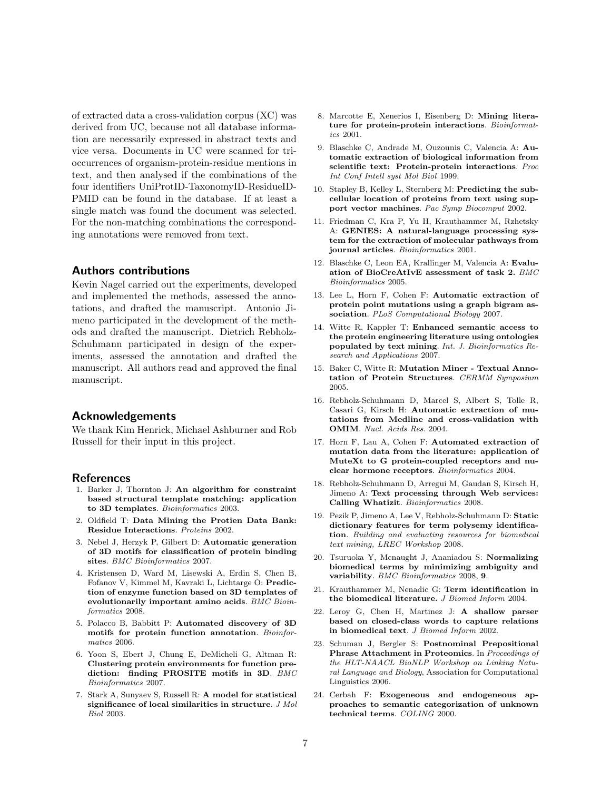of extracted data a cross-validation corpus (XC) was derived from UC, because not all database information are necessarily expressed in abstract texts and vice versa. Documents in UC were scanned for trioccurrences of organism-protein-residue mentions in text, and then analysed if the combinations of the four identifiers UniProtID-TaxonomyID-ResidueID-PMID can be found in the database. If at least a single match was found the document was selected. For the non-matching combinations the corresponding annotations were removed from text.

## Authors contributions

Kevin Nagel carried out the experiments, developed and implemented the methods, assessed the annotations, and drafted the manuscript. Antonio Jimeno participated in the development of the methods and drafted the manuscript. Dietrich Rebholz-Schuhmann participated in design of the experiments, assessed the annotation and drafted the manuscript. All authors read and approved the final manuscript.

## Acknowledgements

We thank Kim Henrick, Michael Ashburner and Rob Russell for their input in this project.

#### References

- 1. Barker J, Thornton J: An algorithm for constraint based structural template matching: application to 3D templates. Bioinformatics 2003.
- 2. Oldfield T: Data Mining the Protien Data Bank: Residue Interactions. Proteins 2002.
- 3. Nebel J, Herzyk P, Gilbert D: Automatic generation of 3D motifs for classification of protein binding sites. BMC Bioinformatics 2007.
- 4. Kristensen D, Ward M, Lisewski A, Erdin S, Chen B, Fofanov V, Kimmel M, Kavraki L, Lichtarge O: Prediction of enzyme function based on 3D templates of evolutionarily important amino acids. BMC Bioinformatics 2008.
- 5. Polacco B, Babbitt P: Automated discovery of 3D motifs for protein function annotation. Bioinformatics 2006.
- 6. Yoon S, Ebert J, Chung E, DeMicheli G, Altman R: Clustering protein environments for function prediction: finding PROSITE motifs in 3D. BMC Bioinformatics 2007.
- 7. Stark A, Sunyaev S, Russell R: A model for statistical significance of local similarities in structure. J Mol Biol 2003.
- 8. Marcotte E, Xenerios I, Eisenberg D: Mining literature for protein-protein interactions. Bioinformatics 2001.
- 9. Blaschke C, Andrade M, Ouzounis C, Valencia A: Automatic extraction of biological information from scientific text: Protein-protein interactions. Proc Int Conf Intell syst Mol Biol 1999.
- 10. Stapley B, Kelley L, Sternberg M: Predicting the subcellular location of proteins from text using support vector machines. Pac Symp Biocomput 2002.
- 11. Friedman C, Kra P, Yu H, Krauthammer M, Rzhetsky A: GENIES: A natural-language processing system for the extraction of molecular pathways from journal articles. Bioinformatics 2001.
- 12. Blaschke C, Leon EA, Krallinger M, Valencia A: Evaluation of BioCreAtIvE assessment of task 2. BMC Bioinformatics 2005.
- 13. Lee L, Horn F, Cohen F: Automatic extraction of protein point mutations using a graph bigram association. PLoS Computational Biology 2007.
- 14. Witte R, Kappler T: Enhanced semantic access to the protein engineering literature using ontologies populated by text mining. Int. J. Bioinformatics Research and Applications 2007.
- 15. Baker C, Witte R: Mutation Miner Textual Annotation of Protein Structures. CERMM Symposium 2005.
- 16. Rebholz-Schuhmann D, Marcel S, Albert S, Tolle R, Casari G, Kirsch H: Automatic extraction of mutations from Medline and cross-validation with OMIM. Nucl. Acids Res. 2004.
- 17. Horn F, Lau A, Cohen F: Automated extraction of mutation data from the literature: application of MuteXt to G protein-coupled receptors and nuclear hormone receptors. Bioinformatics 2004.
- 18. Rebholz-Schuhmann D, Arregui M, Gaudan S, Kirsch H, Jimeno A: Text processing through Web services: Calling Whatizit. Bioinformatics 2008.
- 19. Pezik P, Jimeno A, Lee V, Rebholz-Schuhmann D: Static dictionary features for term polysemy identification. Building and evaluating resources for biomedical text mining, LREC Workshop 2008.
- 20. Tsuruoka Y, Mcnaught J, Ananiadou S: Normalizing biomedical terms by minimizing ambiguity and variability. BMC Bioinformatics 2008, 9.
- 21. Krauthammer M, Nenadic G: Term identification in the biomedical literature. J Biomed Inform 2004.
- 22. Leroy G, Chen H, Martinez J: A shallow parser based on closed-class words to capture relations in biomedical text. J Biomed Inform 2002.
- 23. Schuman J, Bergler S: Postnominal Prepositional Phrase Attachment in Proteomics. In Proceedings of the HLT-NAACL BioNLP Workshop on Linking Natural Language and Biology, Association for Computational Linguistics 2006.
- 24. Cerbah F: Exogeneous and endogeneous approaches to semantic categorization of unknown technical terms. COLING 2000.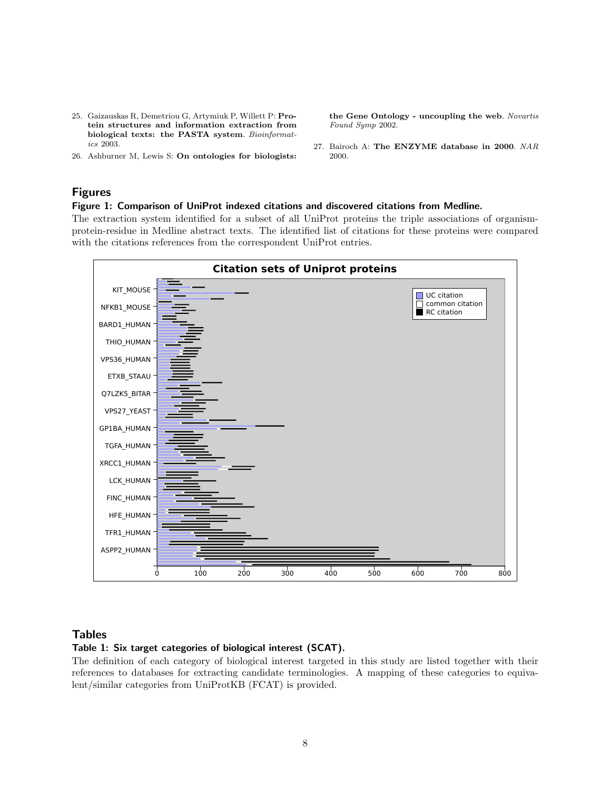- 25. Gaizauskas R, Demetriou G, Artymiuk P, Willett P: Protein structures and information extraction from biological texts: the PASTA system. Bioinformatics 2003.
- 26. Ashburner M, Lewis S: On ontologies for biologists:

the Gene Ontology - uncoupling the web. Novartis Found Symp 2002.

27. Bairoch A: The ENZYME database in 2000. NAR 2000.

# Figures

#### Figure 1: Comparison of UniProt indexed citations and discovered citations from Medline.

The extraction system identified for a subset of all UniProt proteins the triple associations of organismprotein-residue in Medline abstract texts. The identified list of citations for these proteins were compared with the citations references from the correspondent UniProt entries.



#### Tables

# Table 1: Six target categories of biological interest (SCAT).

The definition of each category of biological interest targeted in this study are listed together with their references to databases for extracting candidate terminologies. A mapping of these categories to equivalent/similar categories from UniProtKB (FCAT) is provided.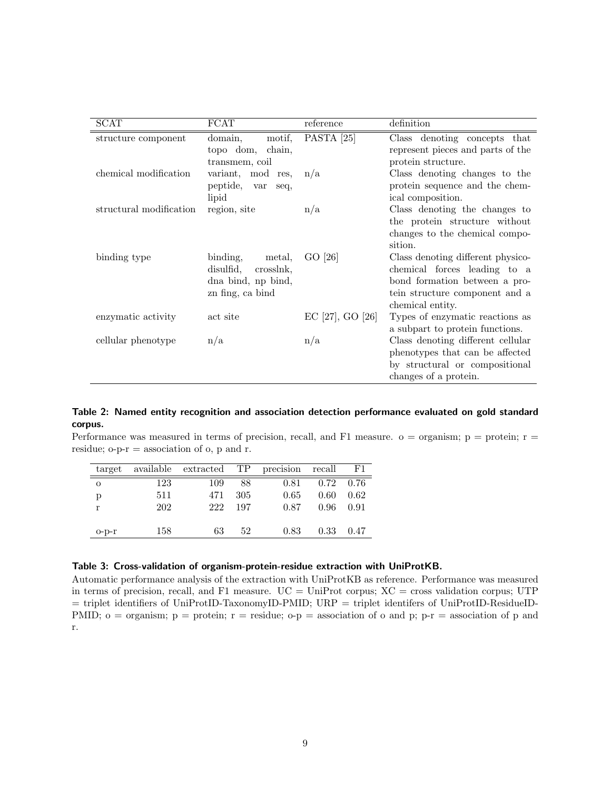| <b>SCAT</b>             | <b>FCAT</b>                                                                            | reference        | definition                                                                                                                                               |
|-------------------------|----------------------------------------------------------------------------------------|------------------|----------------------------------------------------------------------------------------------------------------------------------------------------------|
| structure component     | domain,<br>motif,<br>topo dom,<br>chain,<br>transmem, coil                             | PASTA $[25]$     | Class denoting concepts that<br>represent pieces and parts of the<br>protein structure.                                                                  |
| chemical modification   | variant, mod res,<br>peptide, var<br>seq,<br>lipid                                     | n/a              | Class denoting changes to the<br>protein sequence and the chem-<br>ical composition.                                                                     |
| structural modification | region, site                                                                           | n/a              | Class denoting the changes to<br>the protein structure without<br>changes to the chemical compo-<br>sition.                                              |
| binding type            | binding,<br>metal,<br>disulfid,<br>crosslnk,<br>dna bind, np bind,<br>zn fing, ca bind | GO [26]          | Class denoting different physico-<br>chemical forces leading to a<br>bond formation between a pro-<br>tein structure component and a<br>chemical entity. |
| enzymatic activity      | act site                                                                               | EC [27], GO [26] | Types of enzymatic reactions as<br>a subpart to protein functions.                                                                                       |
| cellular phenotype      | n/a                                                                                    | n/a              | Class denoting different cellular<br>phenotypes that can be affected<br>by structural or compositional<br>changes of a protein.                          |

# Table 2: Named entity recognition and association detection performance evaluated on gold standard corpus.

Performance was measured in terms of precision, recall, and F1 measure.  $o = \text{organism}$ ;  $p = \text{protein}$ ;  $r =$ residue;  $o-p-r =$  association of  $o$ ,  $p$  and  $r$ .

|              |     | target available extracted TP precision recall F1 |      |      |                      |        |
|--------------|-----|---------------------------------------------------|------|------|----------------------|--------|
| $\circ$      | 123 | 109                                               | - 88 |      | $0.81$ $0.72$ $0.76$ |        |
| p            | 511 | 471                                               | -305 | 0.65 | $0.60 -$             | - 0.62 |
| $\mathbf{r}$ | 202 | 222                                               | 197  | 0.87 | $0.96$ 0.91          |        |
|              |     |                                                   |      |      |                      |        |
| $O-D-T$      | 158 | 63                                                | 52   | 0.83 | $0.33 \quad 0.47$    |        |

## Table 3: Cross-validation of organism-protein-residue extraction with UniProtKB.

Automatic performance analysis of the extraction with UniProtKB as reference. Performance was measured in terms of precision, recall, and F1 measure.  $UC = UniProt$  corpus;  $XC = \text{cross validation corpus}; UTP$ = triplet identifiers of UniProtID-TaxonomyID-PMID; URP = triplet identifers of UniProtID-ResidueID-PMID;  $o = \text{organism}$ ;  $p = \text{protein}$ ;  $r = \text{residue}$ ;  $o-p = \text{association of } o$  and  $p$ ;  $p-r = \text{association of } p$  and r.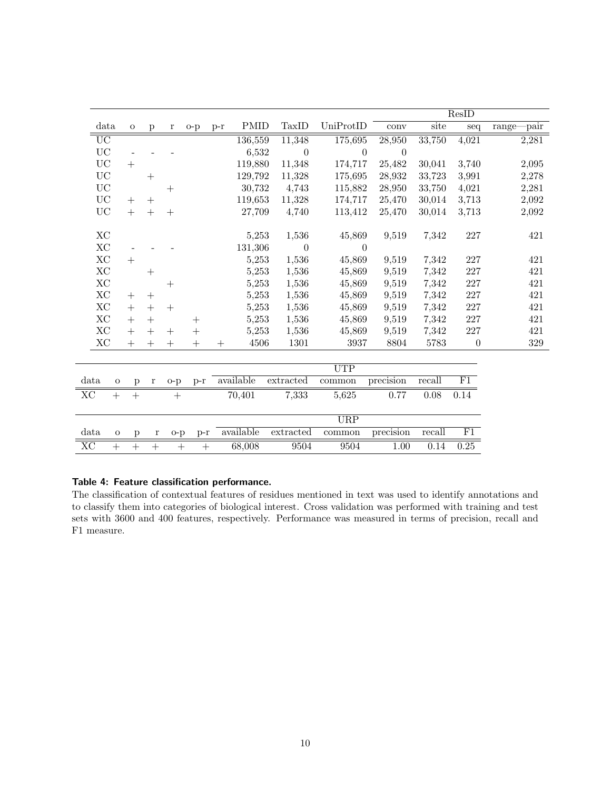|                 |              |              |             |        |        |        |             |                |            |                  |          | ResID            |                   |
|-----------------|--------------|--------------|-------------|--------|--------|--------|-------------|----------------|------------|------------------|----------|------------------|-------------------|
|                 | data         | $\Omega$     | p           | r      | $o-p$  | $p-r$  | <b>PMID</b> | TaxID          | UniProtID  | conv             | site     | seq              | $-pair$<br>range- |
| $\overline{UC}$ |              |              |             |        |        |        | 136,559     | 11,348         | 175,695    | 28,950           | 33,750   | 4,021            | 2,281             |
| $\rm UC$        |              |              |             |        |        |        | 6,532       | $\overline{0}$ | $\theta$   | $\boldsymbol{0}$ |          |                  |                   |
| <b>UC</b>       |              | $+$          |             |        |        |        | 119,880     | 11,348         | 174,717    | 25,482           | 30,041   | 3,740            | 2,095             |
| <b>UC</b>       |              |              | $+$         |        |        |        | 129,792     | 11,328         | 175,695    | 28,932           | 33,723   | 3,991            | 2,278             |
| $\rm UC$        |              |              |             | $^{+}$ |        |        | 30,732      | 4,743          | 115,882    | 28,950           | 33,750   | 4,021            | 2,281             |
| $\rm UC$        |              | $^{+}$       | $^{+}$      |        |        |        | 119,653     | 11,328         | 174,717    | 25,470           | 30,014   | 3,713            | 2,092             |
| ${\rm UC}$      |              | $^{+}$       | $^{+}$      | $^{+}$ |        |        | 27,709      | 4,740          | 113,412    | 25,470           | 30,014   | 3,713            | 2,092             |
| XC              |              |              |             |        |        |        | 5,253       | 1,536          | 45,869     | 9,519            | 7,342    | $227\,$          | 421               |
| $\rm XC$        |              |              |             |        |        |        | 131,306     | $\theta$       | $\theta$   |                  |          |                  |                   |
| $\rm XC$        |              | $+$          |             |        |        |        | 5,253       | 1,536          | 45,869     | 9,519            | 7,342    | 227              | 421               |
| XC              |              |              | $^{+}$      |        |        |        | 5,253       | 1,536          | 45,869     | 9,519            | 7,342    | $227\,$          | 421               |
| $\rm XC$        |              |              |             | $^{+}$ |        |        | 5,253       | 1,536          | 45,869     | 9,519            | 7,342    | 227              | 421               |
| XC              |              | $+$          | $+$         |        |        |        | 5,253       | 1,536          | 45,869     | 9,519            | 7,342    | 227              | 421               |
| $\rm XC$        |              | $+$          | $+$         | $+$    |        |        | 5,253       | 1,536          | 45,869     | 9,519            | 7,342    | $227\,$          | 421               |
| $\rm XC$        |              | $^{+}$       |             |        | $^{+}$ |        | 5,253       | 1,536          | 45,869     | 9,519            | 7,342    | $227\,$          | 421               |
| XC              |              | $+$          | $+$         | $^{+}$ | $^{+}$ |        | 5,253       | 1,536          | 45,869     | 9,519            | 7,342    | 227              | 421               |
| $\rm XC$        |              | $^{+}$       | $^{+}$      | $+$    | $^{+}$ | $^{+}$ | 4506        | 1301           | 3937       | 8804             | $5783\,$ | $\boldsymbol{0}$ | $329\,$           |
|                 |              |              |             |        |        |        |             |                |            |                  |          |                  |                   |
|                 |              |              |             |        |        |        |             |                | <b>UTP</b> |                  |          |                  |                   |
| data            | $\mathbf{O}$ | $\mathbf{p}$ | $\bf r$     | $o-p$  | $p-r$  |        | available   | extracted      | common     | precision        | recall   | F1               |                   |
| XC              | $+$          | $+$          |             | $+$    |        |        | 70,401      | 7,333          | 5,625      | 0.77             | 0.08     | 0.14             |                   |
|                 |              |              |             |        |        |        |             |                | URP        |                  |          |                  |                   |
| data            | $\mathbf{o}$ | p            | $\mathbf r$ | $o-p$  | $p-r$  |        | available   | extrated       | common     | precision        | recall   | F1               |                   |
| $\rm XC$        | $^{+}$       | $^{+}$       | $^{+}$      | $^{+}$ | $^{+}$ |        | 68,008      | 9504           | 9504       | 1.00             | 0.14     | 0.25             |                   |

# Table 4: Feature classification performance.

The classification of contextual features of residues mentioned in text was used to identify annotations and to classify them into categories of biological interest. Cross validation was performed with training and test sets with 3600 and 400 features, respectively. Performance was measured in terms of precision, recall and F1 measure.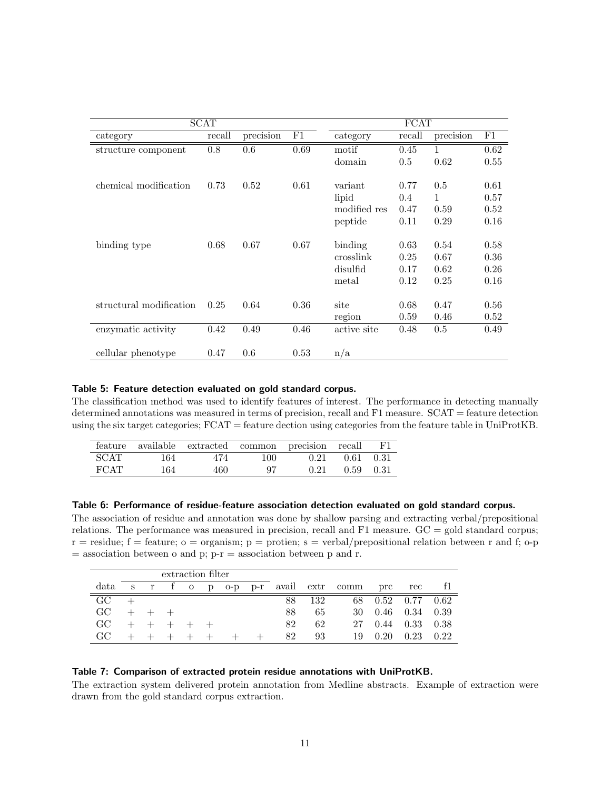|                         | SCAT   |           | <b>FCAT</b> |              |        |           |      |
|-------------------------|--------|-----------|-------------|--------------|--------|-----------|------|
| category                | recall | precision | F1          | category     | recall | precision | F1   |
| structure component     | 0.8    | 0.6       | 0.69        | motif        | 0.45   | 1         | 0.62 |
|                         |        |           |             | domain       | 0.5    | 0.62      | 0.55 |
|                         |        |           |             |              |        |           |      |
| chemical modification   | 0.73   | 0.52      | 0.61        | variant      | 0.77   | 0.5       | 0.61 |
|                         |        |           |             | lipid        | 0.4    | 1         | 0.57 |
|                         |        |           |             | modified res | 0.47   | 0.59      | 0.52 |
|                         |        |           |             | peptide      | 0.11   | 0.29      | 0.16 |
|                         |        |           |             |              |        |           |      |
| binding type            | 0.68   | 0.67      | 0.67        | binding      | 0.63   | 0.54      | 0.58 |
|                         |        |           |             | crosslink    | 0.25   | 0.67      | 0.36 |
|                         |        |           |             | disulfid     | 0.17   | 0.62      | 0.26 |
|                         |        |           |             | metal        | 0.12   | 0.25      | 0.16 |
|                         |        |           |             |              |        |           |      |
| structural modification | 0.25   | 0.64      | 0.36        | site         | 0.68   | 0.47      | 0.56 |
|                         |        |           |             | region       | 0.59   | 0.46      | 0.52 |
| enzymatic activity      | 0.42   | 0.49      | 0.46        | active site  | 0.48   | $0.5\,$   | 0.49 |
|                         |        |           |             |              |        |           |      |
| cellular phenotype      | 0.47   | 0.6       | 0.53        | n/a          |        |           |      |

#### Table 5: Feature detection evaluated on gold standard corpus.

The classification method was used to identify features of interest. The performance in detecting manually determined annotations was measured in terms of precision, recall and F1 measure. SCAT = feature detection using the six target categories; FCAT = feature dection using categories from the feature table in UniProtKB.

|      |     | feature available extracted common precision recall F1 |     |                               |                      |  |
|------|-----|--------------------------------------------------------|-----|-------------------------------|----------------------|--|
| SCAT | 164 | 474                                                    |     | $100 \t 0.21 \t 0.61 \t 0.31$ |                      |  |
| FCAT | 164 | 460                                                    | -97 |                               | $0.21$ $0.59$ $0.31$ |  |

#### Table 6: Performance of residue-feature association detection evaluated on gold standard corpus.

The association of residue and annotation was done by shallow parsing and extracting verbal/prepositional relations. The performance was measured in precision, recall and F1 measure. GC = gold standard corpus;  $r =$  residue;  $f =$  feature;  $o =$  organism;  $p =$  protien;  $s =$  verbal/prepositional relation between r and f;  $o-p$  $=$  association between o and p;  $p-r =$  association between p and r.

|                 | extraction filter |             |                     |  |  |  |  |    |     |                                 |      |                   |        |
|-----------------|-------------------|-------------|---------------------|--|--|--|--|----|-----|---------------------------------|------|-------------------|--------|
| data            | S                 |             |                     |  |  |  |  |    |     | r f o p o-p p-r avail extr comm | prc  | rec               |        |
| $\overline{G}C$ |                   |             |                     |  |  |  |  | 88 | 132 | 68                              |      | $0.52 \quad 0.77$ | -0.62  |
| GC.             |                   | $+$ $+$ $+$ |                     |  |  |  |  | 88 | 65  | 30                              |      | $0.46$ 0.34       | - 0.39 |
| GC.             |                   |             | $+$ $+$ $+$ $+$ $+$ |  |  |  |  | 82 | 62  | 27                              | 0.44 | 0.33              | -0.38  |
| GC.             |                   |             |                     |  |  |  |  | 82 | 93  | 19                              | 0.20 | 0.23              | 0.22   |

#### Table 7: Comparison of extracted protein residue annotations with UniProtKB.

The extraction system delivered protein annotation from Medline abstracts. Example of extraction were drawn from the gold standard corpus extraction.